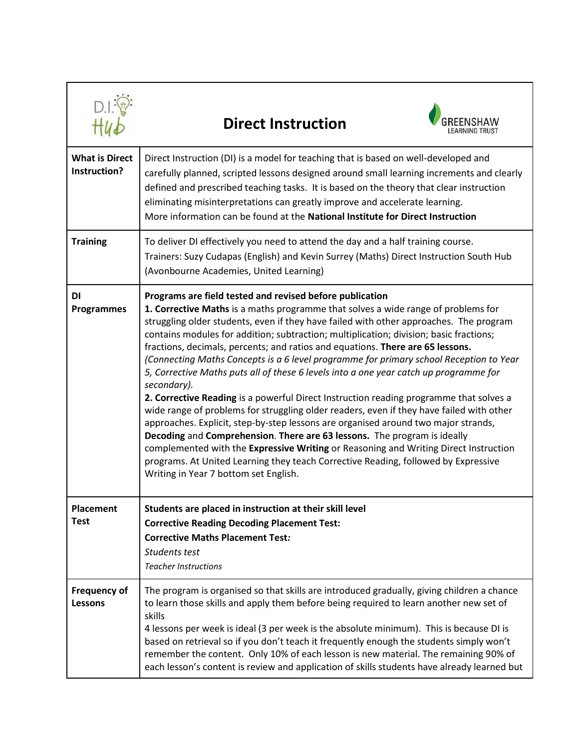|                                       | <b>Direct Instruction</b>                                                                                                                                                                                                                                                                                                                                                                                                                                                                                                                                                                                                                                                                                                                                                                                                                                                                                                                                                                                                                                                                                                                                                                            |
|---------------------------------------|------------------------------------------------------------------------------------------------------------------------------------------------------------------------------------------------------------------------------------------------------------------------------------------------------------------------------------------------------------------------------------------------------------------------------------------------------------------------------------------------------------------------------------------------------------------------------------------------------------------------------------------------------------------------------------------------------------------------------------------------------------------------------------------------------------------------------------------------------------------------------------------------------------------------------------------------------------------------------------------------------------------------------------------------------------------------------------------------------------------------------------------------------------------------------------------------------|
| <b>What is Direct</b><br>Instruction? | Direct Instruction (DI) is a model for teaching that is based on well-developed and<br>carefully planned, scripted lessons designed around small learning increments and clearly<br>defined and prescribed teaching tasks. It is based on the theory that clear instruction<br>eliminating misinterpretations can greatly improve and accelerate learning.<br>More information can be found at the National Institute for Direct Instruction                                                                                                                                                                                                                                                                                                                                                                                                                                                                                                                                                                                                                                                                                                                                                         |
| <b>Training</b>                       | To deliver DI effectively you need to attend the day and a half training course.<br>Trainers: Suzy Cudapas (English) and Kevin Surrey (Maths) Direct Instruction South Hub<br>(Avonbourne Academies, United Learning)                                                                                                                                                                                                                                                                                                                                                                                                                                                                                                                                                                                                                                                                                                                                                                                                                                                                                                                                                                                |
| DI<br><b>Programmes</b>               | Programs are field tested and revised before publication<br>1. Corrective Maths is a maths programme that solves a wide range of problems for<br>struggling older students, even if they have failed with other approaches. The program<br>contains modules for addition; subtraction; multiplication; division; basic fractions;<br>fractions, decimals, percents; and ratios and equations. There are 65 lessons.<br>(Connecting Maths Concepts is a 6 level programme for primary school Reception to Year<br>5, Corrective Maths puts all of these 6 levels into a one year catch up programme for<br>secondary).<br>2. Corrective Reading is a powerful Direct Instruction reading programme that solves a<br>wide range of problems for struggling older readers, even if they have failed with other<br>approaches. Explicit, step-by-step lessons are organised around two major strands,<br>Decoding and Comprehension. There are 63 lessons. The program is ideally<br>complemented with the Expressive Writing or Reasoning and Writing Direct Instruction<br>programs. At United Learning they teach Corrective Reading, followed by Expressive<br>Writing in Year 7 bottom set English. |
| <b>Placement</b><br>Test              | Students are placed in instruction at their skill level<br><b>Corrective Reading Decoding Placement Test:</b><br><b>Corrective Maths Placement Test:</b><br>Students test<br><b>Teacher Instructions</b>                                                                                                                                                                                                                                                                                                                                                                                                                                                                                                                                                                                                                                                                                                                                                                                                                                                                                                                                                                                             |
| <b>Frequency of</b><br><b>Lessons</b> | The program is organised so that skills are introduced gradually, giving children a chance<br>to learn those skills and apply them before being required to learn another new set of<br>skills<br>4 lessons per week is ideal (3 per week is the absolute minimum). This is because DI is<br>based on retrieval so if you don't teach it frequently enough the students simply won't<br>remember the content. Only 10% of each lesson is new material. The remaining 90% of<br>each lesson's content is review and application of skills students have already learned but                                                                                                                                                                                                                                                                                                                                                                                                                                                                                                                                                                                                                           |